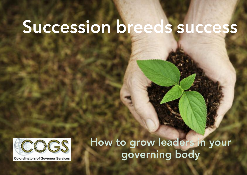# **Succession breeds success**



**Co-ordinators of Governor Services** 

**How to grow leaders in your governing body**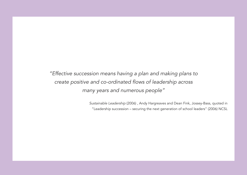"Effective succession means having a plan and making plans to create positive and co-ordinated flows of leadership across many years and numerous people"

> Sustainable Leadership (2006) , Andy Hargreaves and Dean Fink, Jossey-Bass, quoted in "Leadership succession – securing the next generation of school leaders" (2006) NCSL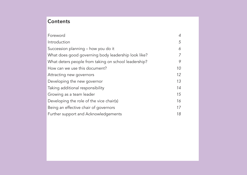# **Contents**

| Foreword                                             | 4  |
|------------------------------------------------------|----|
| Introduction                                         | 5  |
| Succession planning - how you do it                  | 6  |
| What does good governing body leadership look like?  |    |
| What deters people from taking on school leadership? | 9  |
| How can we use this document?                        | 10 |
| Attracting new governors                             | 12 |
| Developing the new governor                          | 13 |
| Taking additional responsibility                     | 14 |
| Growing as a team leader                             | 15 |
| Developing the role of the vice chair(s)             | 16 |
| Being an effective chair of governors                | 17 |
| Further support and Acknowledgements                 | 18 |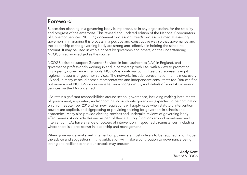# **Foreword**

Succession planning in a governing body is important, as in any organisation, for the stability and progress of the enterprise. This revised and updated edition of the National Coordinators of Governor Services (NCOGS) document Succession Breeds Success is aimed at assisting governors in managing this process in a positive and constructive way so that governance and the leadership of the governing body are strong and effective in holding the school to account. It may be used in whole or part by governors and others, on the understanding NCOGS is acknowledged as the source.

NCOGS exists to support Governor Services in local authorities (LAs) in England, and governance professionals working in and in partnership with LAs, with a view to promoting high-quality governance in schools. NCOGS is a national committee that represents eight regional networks of governor services. The networks include representation from almost every LA and, in many cases, diocesan representatives and independent consultants too. You can find out more about NCOGS on our website, www.ncogs.org.uk, and details of your LA Governor Services via the LA concerned.

LAs retain significant responsibilities around school governance, including making Instruments of government, appointing and/or nominating Authority governors (expected to be nominating only from September 2015 when new regulations will apply, save when statutory intervention powers are applied), and signposting or providing training for governors in schools and academies. Many also provide clerking services and undertake reviews of governing body effectiveness. Alongside this and as part of their statutory functions around monitoring and intervention, LAs have a range of powers of intervention in specified circumstances, including where there is a breakdown in leadership and management

. When governance works well intervention powers are most unlikely to be required, and I hope the advice and suggestions in this publication will make a contribution to governance being strong and resilient so that our schools may prosper.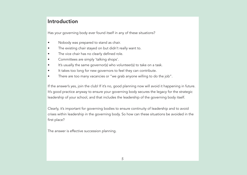### **Introduction**

Has your governing body ever found itself in any of these situations?

- Nobody was prepared to stand as chair.
- The existing chair stayed on but didn't really want to.
- The vice chair has no clearly defined role.
- Committees are simply 'talking shops'.
- It's usually the same governor(s) who volunteer(s) to take on a task.
- It takes too long for new governors to feel they can contribute.
- There are too many vacancies or "we grab anyone willing to do the job".

If the answer's yes, join the club! If it's no, good planning now will avoid it happening in future. It's good practice anyway to ensure your governing body secures the legacy for the strategic leadership of your school, and that includes the leadership of the governing body itself.

Clearly, it's important for governing bodies to ensure continuity of leadership and to avoid crises within leadership in the governing body. So how can these situations be avoided in the first place?

The answer is effective succession planning.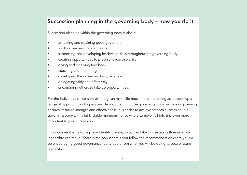# **Succession planning in the governing body – how you do it**

Succession planning within the governing body is about:

- attracting and retaining good governors
- spotting leadership talent early
- supporting and developing leadership skills throughout the governing body
- creating opportunities to practise leadership skills
- giving and receiving feedback
- coaching and mentoring
- developing the governing body as a team
- delegating fairly and effectively
- encouraging others to take up opportunities.

For the individual, succession planning can make life much more interesting as it opens up a range of opportunities for personal development. For the governing body, succession planning ensures its future strength and effectiveness. It is easier to achieve smooth succession in a governing body with a fairly stable membership, so where turnover is high, it is even more important to plan succession.

This document aims to help you identify the steps you can take to create a culture in which leadership can thrive. There is the bonus that if you follow the recommendations here you will be encouraging good governance, quite apart from what you will be doing to secure future leadership.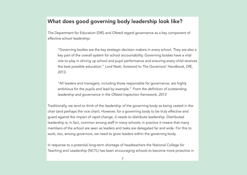### **What does good governing body leadership look like?**

The Department for Education (DfE) and Ofsted regard governance as a key component of effective school leadership:

"Governing bodies are the key strategic decision makers in every school. They are also a key part of the overall system for school accountability. Governing bodies have a vital role to play in driving up school and pupil performance and ensuring every child receives the best possible education." Lord Nash, foreword to The Governors' Handbook, DfE, 2013.

"All leaders and managers, including those responsible for governance, are highly ambitious for the pupils and lead by example." From the definition of outstanding leadership and governance in the Ofsted inspection framework, 2013

Traditionally, we tend to think of the leadership of the governing body as being vested in the chair (and perhaps the vice chair). However, for a governing body to be truly effective and guard against the impact of rapid change, it needs to distribute leadership. Distributed leadership is, in fact, common among staff in many schools; in practice it means that many members of the school are seen as leaders and tasks are delegated far and wide. For this to work, too, among governors, we need to grow leaders within the governing body.

In response to a potential long-term shortage of headteachers the National College for Teaching and Leadership (NCTL) has been encouraging schools to become more proactive in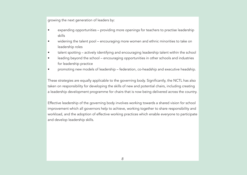growing the next generation of leaders by:

- expanding opportunities providing more openings for teachers to practise leadership skills
- widening the talent pool encouraging more women and ethnic minorities to take on leadership roles
- talent spotting actively identifying and encouraging leadership talent within the school
- leading beyond the school encouraging opportunities in other schools and industries for leadership practice
- promoting new models of leadership federation, co-headship and executive headship.

These strategies are equally applicable to the governing body. Significantly, the NCTL has also taken on responsibility for developing the skills of new and potential chairs, including creating a leadership development programme for chairs that is now being delivered across the country.

Effective leadership of the governing body involves working towards a shared vision for school improvement which all governors help to achieve, working together to share responsibility and workload, and the adoption of effective working practices which enable everyone to participate and develop leadership skills.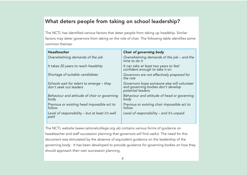# **What deters people from taking on school leadership?**

The NCTL has identified various factors that deter people from taking up headship. Similar factors may deter governors from taking on the role of chair. The following table identifies some common themes:

| <b>Headteacher</b>                                                 | <b>Chair of governing body</b>                                                                        |
|--------------------------------------------------------------------|-------------------------------------------------------------------------------------------------------|
| Overwhelming demands of the job                                    | Overwhelming demands of the job – and the<br>time to do it                                            |
| It takes 20 years to reach headship                                | It can take at least two years to feel<br>confident enough to take it on                              |
| Shortage of suitable candidates                                    | Governors are not effectively prepared for<br>the role                                                |
| Schools wait for talent to emerge – they<br>don't seek out leaders | Governors hope someone else will volunteer<br>and governing bodies don't develop<br>potential leaders |
| Behaviour and attitude of chair or governing<br>body               | Behaviour and attitude of head or governing<br>body                                                   |
| Previous or existing head impossible act to<br>follow              | Previous or existing chair impossible act to<br>follow                                                |
| Level of responsibility - but at least it's well<br>paid           | Level of responsibility – and it's unpaid                                                             |
|                                                                    |                                                                                                       |

The NCTL website (www.nationalcollege.org.uk) contains various forms of guidance on headteacher and staff succession planning that governors will find useful. The need for this document was stimulated by the absence of equivalent guidance on the leadership of the governing body . It has been developed to provide guidance for governing bodies on how they should approach their own succession planning.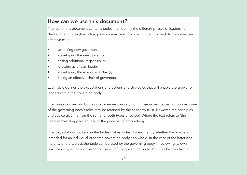### **How can we use this document?**

The rest of this document contains tables that identify the different phases of leadership development through which a governor may pass, from recruitment through to becoming an effective chair:

- attracting new governors
- developing the new governor
- taking additional responsibility
- growing as a team leader
- developing the role of vice chair(s)
- being an effective chair of governors.

Each table defines the expectations and actions and strategies that will enable the growth of leaders within the governing body.

The roles of governing bodies in academies can vary from those in maintained schools as some of the governing body's roles may be retained by the academy trust. However, the principles and advice given remain the same for both types of school. Where the text refers to 'the headteacher' it applies equally to the principal of an academy.

The 'Expectations' column in the tables makes it clear for each entry whether the advice is intended for an individual or for the governing body as a whole. In the case of the latter (the majority of the tables), the table can be used by the governing body in reviewing its own practice or by a single governor on behalf of the governing body. This may be the chair, but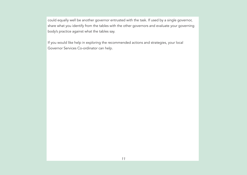could equally well be another governor entrusted with the task. If used by a single governor, share what you identify from the tables with the other governors and evaluate your governing body's practice against what the tables say.

If you would like help in exploring the recommended actions and strategies, your local Governor Services Co-ordinator can help.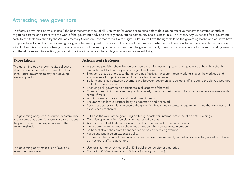### **Attracting new governors**

An effective governing body is, in itself, the best recruitment tool of all. Don't wait for vacancies to arise before developing effective recruitment strategies such as engaging parents and carers with the work of the governing body and actively encouraging community and business links. The Twenty Key Questions for a governing body to ask itself published by the All Parliamentary Group on Governance start with "Right skills: Do we have the right skills on the governing body" and ask if we have completed a skills audit of the governing body, whether we appoint governors on the basis of their skills and whether we know how to find people with the necessary skills. Follow this advice and when you have a vacancy it will be an opportunity to strengthen the governing body. Even if your vacancies are for parent or staff governors and therefore subject to election, you can still indicate in advance what skills you hope candidates will bring.

The governing body knows that its collective effectiveness is the best recruitment tool and encourages governors to stay and develop leadership skills

The governing body reaches out to its community and ensures that potential recruits are clear about the purpose, work and expectations of the governing body

The governing body makes use of available recruitment resources

#### **Expectations Actions and strategies**

- Agree and publish a shared vision between the senior leadership team and governors of how the school's leadership will look in five years' time (staff and governors)
- Sign up to a code of practice that underpins effective, transparent team working, shares the workload and encourages all to get involved and gain leadership experience
- Build relationships between governors and between governors and school staff, including the clerk, based upon mutual trust and respect
- Encourage all governors to participate in all aspects of the work
- Change roles within the governing body regularly to ensure maximum numbers gain experience across a wide range of work
- Audit governing body skills and development needs
- Ensure that collective responsibility is understood and observed
- Review structures regularly to ensure the governing body meets statutory requirements and that workload and experience are shared
- Publicise the work of the governing body e.g. newsletter, informal presence at parents' evenings
- Organise open evenings/sessions for interested parents
- Approach and build relationships with local companies and community groups
- Invite potential governors as observers or appoint them as associate members
- Be honest about the commitment needed to be an effective governor
- Agree and publicise an expenses policy
- Ensure that the timing of meetings is no disincentive to recruitment, and reflects satisfactory work-life balance for both school staff and governors
- Use local authority (LA) material or DfE-published recruitment materials
- Contact SGOSS Governors for Schools (www.sgoss.org.uk)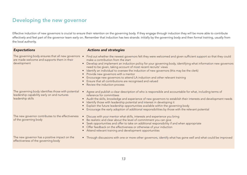# **Developing the new governor**

Effective induction of new governors is crucial to ensure their retention on the governing body. If they engage through induction they will be more able to contribute effectively and feel part of the governor team early on. Remember that induction has two strands: initially by the governing body and then formal training, usually from the local authority.

are made welcome and supports them in their development

leadership capability early on and nurtures leadership skills

The new governor contributes to the effectiveness of the governing body

#### **Expectations Actions and strategies**

- The governing body ensures that all new governors  $\;\bullet\;\;$  Find out whether the newest governors felt they were welcomed and given sufficient support so that they could make a contribution from the start
	- Develop and implement an induction policy for your governing body, identifying what information new governors need to be given, taking account of most recent recruits' views
	- Identify an individual to oversee the induction of new governors (this may be the clerk)
	- Provide new governors with a mentor
	- Encourage new governors to attend LA induction and other relevant training
	- Ensure that all contributions are recognised and valued
	- Review the induction process
- The governing body identifies those with potential Agree and publish a clear description of who is responsible and accountable for what, including terms of reference for committees
	- Audit the skills, knowledge and experience of new governors to establish their interests and development needs
	- Identify those with leadership potential and interest in developing it
	- Explain the future leadership opportunities available within the governing body
	- Encourage the early adoption of additional responsibilities by those with the relevant potential
	- Discuss with your mentor what skills, interests and experience you bring
	- Be realistic and clear about the level of commitment you can give
	- Seek opportunities and offer to take on additional responsibility if and when appropriate
	- Offer feedback on the effectiveness or otherwise of your induction
	- Attend relevant training and development opportunities

The new governor has a positive impact on the effectiveness of the governing body

• Through discussions with one or more other governors, identify what has gone well and what could be improved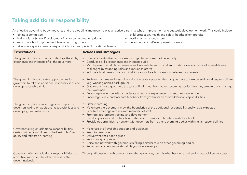# **Taking additional responsibility**

An effective governing body motivates and enables all its members to play an active part in its school improvement and strategic development work. This could include:

- joining a committee
- linking with a School Development Plan or self evaluation priority
- leading a school improvement task or working group
- taking on a specific area of responsibility such as Special Educational Needs,

The governing body knows and deploys the skills, experience and interests of all the governors

The governing body creates opportunities for governors to take on additional responsibilities and develop leadership skills

The governing body encourages and supports governors taking on additional responsibilities and developing leadership skills

Governor taking on additional responsibilities carries out responsibilities to the best of his/her ability and reflects on learning

#### **Expectations Actions and strategies**

- Create opportunities for governors to get to know each other socially
- Conduct a skills, experience and interests audit
- Match governors' skills, experience and interests to known and anticipated roles and tasks but enable new challenges by swapping roles as experience grows
- Include a brief pen-portrait or mini-biography of each governor in relevant documents
- Review structures and ways of working to create opportunities for governors to take on additional responsibilities (e.g. working parties, task groups)
- Give one or more governors the task of finding out from other governing bodies how they structure and manage their workload
- Encourage governors with a moderate amount of experience to mentor new governors
- Encourage, value and facilitate feedback from governors on their additional responsibilities
- Offer mentoring
- Make sure the governors know the boundaries of the additional responsibility and what is expected
- Facilitate meetings with relevant members of staff
- Promote appropriate training and development
- Develop policies and protocols with staff and governors to facilitate visits to school
- Provide opportunities to network with governors from other governing bodies with similar responsibilities
- Make use of all available support and guidance
- Keep to timescale
- Deliver what has been agreed
- Report as appropriate
- Liaise and network with governors fulfilling a similar role on other governing bodies
- Reflect on any new leadership skills you have developed

Governor taking on additional responsibilities has a positive impact on the effectiveness of the governing body

Through discussions with one or more other governors, identify what has gone well and what could be improved

14

- child protection, health and safety, headteacher appraisal
- leading on an agenda item
- becoming a Link/Development governor.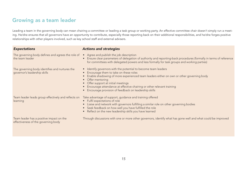### **Growing as a team leader**

Leading a team in the governing body can mean chairing a committee or leading a task group or working party. An effective committee chair doesn't simply run a meeting. He/she ensures that all governors have an opportunity to contribute, especially those reporting back on their additional responsibilities, and he/she forges positive relationships with other players involved, such as key school staff and external advisers.

| <b>Expectations</b>                                                             | <b>Actions and strategies</b>                                                                                                                                                                                                                                                                                                                                                                         |
|---------------------------------------------------------------------------------|-------------------------------------------------------------------------------------------------------------------------------------------------------------------------------------------------------------------------------------------------------------------------------------------------------------------------------------------------------------------------------------------------------|
| The governing body defines and agrees the role of<br>the team leader            | • Agree and publish the job description<br>• Ensure clear parameters of delegation of authority and reporting-back procedures (formally in terms of reference<br>for committees with delegated powers and less formally for task groups and working parties)                                                                                                                                          |
| The governing body identifies and nurtures the<br>governor's leadership skills  | • Identify governors with the potential to become team leaders<br>• Encourage them to take on these roles<br>• Enable shadowing of more experienced team leaders either on own or other governing body<br>• Offer mentoring<br>• Offer support at initial meetings<br>• Encourage attendance at effective chairing or other relevant training<br>Encourage provision of feedback on leadership skills |
| Team leader leads group effectively and reflects on<br>learning                 | Take advantage of support, guidance and training offered<br>• Fulfil expectations of role<br>• Liaise and network with governors fulfilling a similar role on other governing bodies<br>• Seek feedback on how well you have fulfilled the role<br>• Reflect on the new leadership skills you have learned                                                                                            |
| Team leader has a positive impact on the<br>effectiveness of the governing body | Through discussions with one or more other governors, identify what has gone well and what could be improved                                                                                                                                                                                                                                                                                          |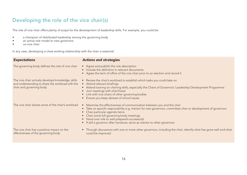# **Developing the role of the vice chair(s)**

The role of vice chair offers plenty of scope for the development of leadership skills. For example, you could be:

- a champion of distributed leadership among the governing body
- an active role model to new governors
- co-vice chair.

In any case, developing a close working relationship with the chair is essential.

#### **Expectations Actions and strategies**

| The governing body defines the role of vice chair                                                                                  | • Agree and publish the role description<br>• Include the definition in relevant documents<br>• Agree the term of office of the vice chair prior to an election and record it                                                                                                                                                                                                                                |
|------------------------------------------------------------------------------------------------------------------------------------|--------------------------------------------------------------------------------------------------------------------------------------------------------------------------------------------------------------------------------------------------------------------------------------------------------------------------------------------------------------------------------------------------------------|
| The vice chair actively develops knowledge, skills<br>and understanding to share the workload with the<br>chair and governing body | • Review the chair's workload to establish which tasks you could take on<br>• Attend relevant briefings<br>• Attend training on chairing skills, especially the Chairs of Governors' Leadership Development Programme<br>• Join meetings with chair/head<br>• Link with vice chairs of other governing bodies<br>Ensure you keep abreast of school issues                                                    |
| The vice chair shares some of the chair's workload                                                                                 | Maximise the effectiveness of communication between you and the chair<br>$\bullet$<br>Take on specific responsibility e.g. mentor for new governors, committee chair or development of governors<br>• Chair particular agenda items<br>• Chair some full governing body meetings<br>• Hand over role to well-prepared successor(s)<br>If still a governor after handover, serve as mentor to other governors |
| The vice chair has a positive impact on the<br>effectiveness of the governing body                                                 | Through discussions with one or more other governors, including the chair, identify what has gone well and what<br>could be improved                                                                                                                                                                                                                                                                         |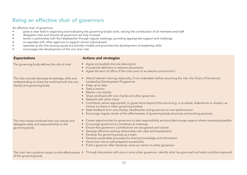# **Being an effective chair of governors**

An effective chair of governors:

- gives a clear lead in organising and evaluating the governing body's work, valuing the contribution of all members and staff
- delegates roles and ensures all governors are fully involved
- works in partnership with the headteacher through regular meetings, providing appropriate support and challenge
- co-operates with other agencies to support school improvement
- operates as the first among equals but actively models and promotes the development of leadership skills
- encourages the development of the vice chair role.

governing body

#### The governing body defines the role of chair

The chair actively develops knowledge, skills and understanding to share the workload with the vice chair(s) and governing body

The chair shares workload with vice chair(s) and delegates tasks and responsibilities to the

#### **Expectations Actions and strategies**

- Agree and publish the role description
- Include the definition in relevant documents
- Agree the term of office of the chair prior to an election and record it
- Attend relevant training, especially, if not undertaken before assuming the role, the Chairs of Governors' Leadership Development Programme
- Keep up to date
- Seek a mentor
- Mentor vice chair(s)
- Share workload with vice chair(s) and other governors
- Network with other chairs
- Contribute, where appropriate, to governance beyond the school (e.g. in localities, federations or clusters; as mentor to chairs in other governing bodies)
- Seek feedback from vice chair(s), headteacher and governors on own performance
- Encourage regular review of the effectiveness of governing body structures and working practices
- Create opportunities for governors to take responsibility and provide/arrange support where necessary/possible
- Encourage governors to contribute at meetings
- Ensure that governors' contributions are recognised and valued
- Develop effective working relationship with clerk and headteacher
- Develop the governing body as a team
- Develop sustainable processes for sharing knowledge and information
- Hand over role to well-prepared successor(s)
- If still a governor after handover, serve as mentor to other governors

| The chair has a positive impact on the effectiveness • | Through discussions with one or more other governors, identify what has gone well and what could be improved |
|--------------------------------------------------------|--------------------------------------------------------------------------------------------------------------|
| of the governing body                                  |                                                                                                              |